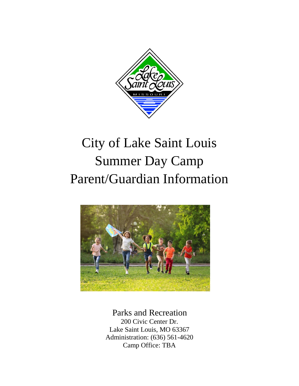

# City of Lake Saint Louis Summer Day Camp Parent/Guardian Information



 Parks and Recreation 200 Civic Center Dr. Lake Saint Louis, MO 63367 Administration: (636) 561-4620 Camp Office: TBA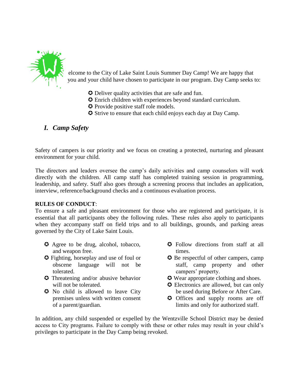

elcome to the City of Lake Saint Louis Summer Day Camp! We are happy that you and your child have chosen to participate in our program. Day Camp seeks to:

- Deliver quality activities that are safe and fun.
- Enrich children with experiences beyond standard curriculum.
- **O** Provide positive staff role models.
- Strive to ensure that each child enjoys each day at Day Camp.

# *I. Camp Safety*

Safety of campers is our priority and we focus on creating a protected, nurturing and pleasant environment for your child.

The directors and leaders oversee the camp's daily activities and camp counselors will work directly with the children. All camp staff has completed training session in programming, leadership, and safety. Staff also goes through a screening process that includes an application, interview, reference/background checks and a continuous evaluation process.

#### **RULES OF CONDUCT**:

To ensure a safe and pleasant environment for those who are registered and participate, it is essential that all participants obey the following rules. These rules also apply to participants when they accompany staff on field trips and to all buildings, grounds, and parking areas governed by the City of Lake Saint Louis.

- **•** Agree to be drug, alcohol, tobacco, and weapon free.
- Fighting, horseplay and use of foul or obscene language will not be tolerated.
- **O** Threatening and/or abusive behavior will not be tolerated.
- No child is allowed to leave City premises unless with written consent of a parent/guardian.
- $\bullet$  Follow directions from staff at all times.
- $\odot$  Be respectful of other campers, camp staff, camp property and other campers' property.
- $\odot$  Wear appropriate clothing and shoes.
- **C** Electronics are allowed, but can only be used during Before or After Care.
- **O** Offices and supply rooms are off limits and only for authorized staff.

In addition, any child suspended or expelled by the Wentzville School District may be denied access to City programs. Failure to comply with these or other rules may result in your child's privileges to participate in the Day Camp being revoked.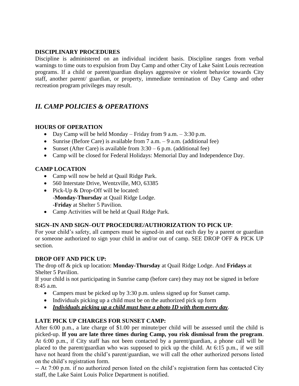#### **DISCIPLINARY PROCEDURES**

Discipline is administered on an individual incident basis. Discipline ranges from verbal warnings to time outs to expulsion from Day Camp and other City of Lake Saint Louis recreation programs. If a child or parent/guardian displays aggressive or violent behavior towards City staff, another parent/ guardian, or property, immediate termination of Day Camp and other recreation program privileges may result.

# *II. CAMP POLICIES & OPERATIONS*

#### **HOURS OF OPERATION**

- Day Camp will be held Monday Friday from 9 a.m. 3:30 p.m.
- Sunrise (Before Care) is available from  $7$  a.m.  $-9$  a.m. (additional fee)
- Sunset (After Care) is available from  $3:30 6$  p.m. (additional fee)
- Camp will be closed for Federal Holidays: Memorial Day and Independence Day.

### **CAMP LOCATION**

- Camp will now be held at Quail Ridge Park.
- 560 Interstate Drive, Wentzville, MO, 63385
- Pick-Up  $&$  Drop-Off will be located: -**Monday-Thursday** at Quail Ridge Lodge. -**Friday** at Shelter 5 Pavilion.
- Camp Activities will be held at Quail Ridge Park.

## **SIGN–IN AND SIGN–OUT PROCEDURE/AUTHORIZATION TO PICK UP**:

For your child's safety, all campers must be signed-in and out each day by a parent or guardian or someone authorized to sign your child in and/or out of camp. SEE DROP OFF & PICK UP section.

#### **DROP OFF AND PICK UP:**

The drop off & pick up location: **Monday-Thursday** at Quail Ridge Lodge. And **Fridays** at Shelter 5 Pavilion.

If your child is not participating in Sunrise camp (before care) they may not be signed in before 8:45 a.m.

- Campers must be picked up by 3:30 p.m. unless signed up for Sunset camp.
- Individuals picking up a child must be on the authorized pick up form
- *Individuals picking up a child must have a photo ID with them every day*.

## **LATE PICK UP CHARGES FOR SUNSET CAMP:**

After 6:00 p.m., a late charge of \$1.00 per minute/per child will be assessed until the child is picked-up. **If you are late three times during Camp, you risk dismissal from the program**. At 6:00 p.m., if City staff has not been contacted by a parent/guardian, a phone call will be placed to the parent/guardian who was supposed to pick up the child. At 6:15 p.m., if we still have not heard from the child's parent/guardian, we will call the other authorized persons listed on the child's registration form.

-- At 7:00 p.m. if no authorized person listed on the child's registration form has contacted City staff, the Lake Saint Louis Police Department is notified.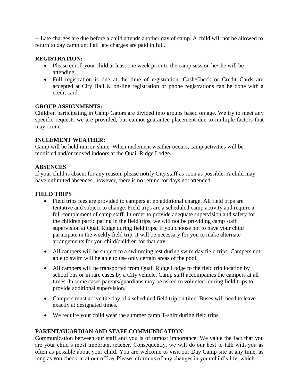-- Late charges are due before a child attends another day of camp. A child will not be allowed to return to day camp until all late charges are paid in full.

#### **REGISTRATION:**

- Please enroll your child at least one week prior to the camp session he/she will be attending.
- Full registration is due at the time of registration. Cash/Check or Credit Cards are accepted at City Hall & on-line registration or phone registrations can be done with a credit card.

#### **GROUP ASSIGNMENTS:**

Children participating in Camp Gators are divided into groups based on age. We try to meet any specific requests we are provided, but cannot guarantee placement due to multiple factors that may occur.

#### **INCLEMENT WEATHER:**

Camp will be held rain or shine. When inclement weather occurs, camp activities will be modified and/or moved indoors at the Quail Ridge Lodge.

#### **ABSENCES**

If your child is absent for any reason, please notify City staff as soon as possible. A child may have unlimited absences; however, there is no refund for days not attended.

#### **FIELD TRIPS**

- Field trips fees are provided to campers at no additional charge. All field trips are tentative and subject to change. Field trips are a scheduled camp activity and require a full complement of camp staff. In order to provide adequate supervision and safety for the children participating in the field trips, we will not be providing camp staff supervision at Quail Ridge during field trips. If you choose not to have your child participate in the weekly field trip, it will be necessary for you to make alternate arrangements for you child/children for that day.
- All campers will be subject to a swimming test during swim day field trips. Campers not able to swim will be able to use only certain areas of the pool.
- All campers will be transported from Quail Ridge Lodge to the field trip location by school bus or in rare cases by a City vehicle. Camp staff accompanies the campers at all times. In some cases parents/guardians may be asked to volunteer during field trips to provide additional supervision.
- Campers must arrive the day of a scheduled field trip on time. Buses will need to leave exactly at designated times.
- We require your child wear the summer camp T-shirt during field trips.

#### **PARENT/GUARDIAN AND STAFF COMMUNICATION**:

Communication between our staff and you is of utmost importance. We value the fact that you are your child's most important teacher. Consequently, we will do our best to talk with you as often as possible about your child. You are welcome to visit our Day Camp site at any time, as long as you check-in at our office. Please inform us of any changes in your child's life, which